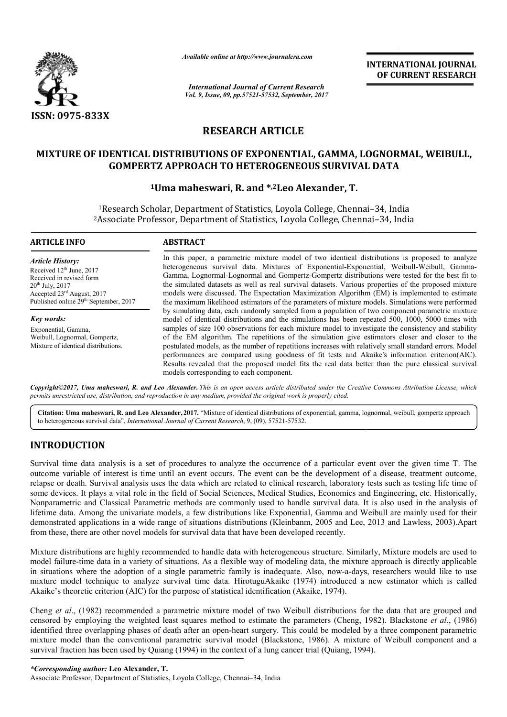

*Available online at http://www.journal http://www.journalcra.com*

*International Journal of Current Research Vol. 9, Issue, 09, pp.57521-57532, September, 2017* **INTERNATIONAL JOURNAL OF CURRENT RESEARCH** 

# **RESEARCH ARTICLE**

# **MIXTURE OF IDENTICAL DISTRIBUTIONS OF EXPONENTIAL, GAMMA, LOGNORMAL, WEIBULL, GAMMA, LOGNORMAL, GOMPERTZ APPROACH TO HETEROGENEOUS SURVIVAL DATA**

# **1Uma maheswari Uma maheswari, R. and \*,2Leo Alexander, T.**

1Research Scholar, Department of Statistics, Loyola College, Chennai Scholar, Chennai–34, India 2Associate Professor, Department of Statistics, Loyola College, Chennai Research Associate Department of Chennai–34, India

# **ARTICLE INFO ABSTRACT**

*Article History:* Received 12<sup>th</sup> June, 2017 Received in revised form  $20<sup>th</sup>$  July,  $2017$ Accepted 23rd August, 2017 Published online 29<sup>th</sup> September, 2017

*Key words:* Exponential, Gamma, Weibull, Lognormal, Gompertz, Mixture of identical distributions.

In this paper, a parametric mixture model of two identical distributions is proposed to analyze In this paper, a parametric mixture model of two identical distributions is proposed to analyze heterogeneous survival data. Mixtures of Exponential-Exponential, Weibull-Weibull, Gamma-Gamma, Lognormal Lognormal-Lognormal and Gompertz-Gompertz distributions were tested for the best fit to the simulate simulated datasets as well as real survival datasets. Various properties of the proposed mixture models were discussed. The Expectation Maximization Algorithm (EM) is implemented to estimate Gamma, Lognormal-Lognormal and Gompertz-Gompertz distributions were tested for the best fit to the simulated datasets as well as real survival datasets. Various properties of the proposed mixture models were discussed. The by simulating data, each randomly sampled from a population of two component parametric mixture model of identical distributions and the simulations has been repeated 500, 1000, 5000 times with samples of size 100 observations for each mixture model to investigate the consistency and stability of the EM algorithm. The repetitions of the simulation give estimators closer and closer to the postulated models, as the number of repetitions increases with relatively small standard errors. performances are compared using goodness of fit tests and Akaike's information criterion(AIC). performances are compared using goodness of fit tests and Akaike's information criterion(AIC).<br>Results revealed that the proposed model fits the real data better than the pure classical survival models corresponding to each component. by simulating data, each randomly sampled from a population of two component parametric mixture model of identical distributions and the simulations has been repeated 500, 1000, 5000 times with samples of size 100 observat

*Copyright©2017, Uma maheswari, R. and Leo Alexander* **.** *This is an open access article distributed under the Creative Commons Att Commons Attribution License, which permits unrestricted use, distribution, and reproduction in any medium, provided the original work is properly cited.*

Citation: Uma maheswari, R. and Leo Alexander, 2017. "Mixture of identical distributions of exponential, gamma, lognormal, weibull, gompertz approach to heterogeneous survival data", *International Journal of Current Research*, 9, (09), 57521-57532.

# **INTRODUCTION**

Survival time data analysis is a set of procedures to analyze the occurrence of a particular event over the given time T. The outcome variable of interest is time until an event occurs. The event can be the development of a disease, treatment outcome, Survival time data analysis is a set of procedures to analyze the occurrence of a particular event over the given time T. The outcome variable of interest is time until an event occurs. The event can be the development of some devices. It plays a vital role in the field of Social Sciences, Medical Studies, Economics and Engineering, etc. Historically, Nonparametric and Classical Parametric methods are commonly used to handle survival data. It is also used in the analysis of lifetime data. Among the univariate models, a few distributions like Exponential, Gamma and Weibull are mainly used for their lifetime data. Among the univariate models, a few distributions like Exponential, Gamma and Weibull are demonstrated applications in a wide range of situations distributions (Kleinbanm, 2005 and Lee, 2013 and from these, there are other novel models for survival data that have been developed recently. Nonparametric and Classical Parametric methods are commonly used to handle survival data. It is also used in the analysis of lifetime data. Among the univariate models, a few distributions like Exponential, Gamma and Weibu

Mixture distributions are highly recommended to handle data with heterogeneous structure. Similarly, Mixture models are used to model failure-time data in a variety of situations. As a flexible way of modeling data, the mixture approach is directly applicable in situations where the adoption of a single parametric family is inadequate. Also, now-a-days, researchers would like to use mixture model technique to analyze survival time data. HirotuguAkaike (1974) introduced a new estimator which is called Akaike's theoretic criterion (AIC) for the purpose of statistical identification (Akaike, 1974). variety of situations. As a flexible way of modeling data, the mixture approach is directly applicable<br>potion of a single parametric family is inadequate. Also, now-a-days, researchers would like to use<br>example a environme

Cheng et al., (1982) recommended a parametric mixture model of two Weibull distributions for the data that are grouped and censored by employing the weighted least squares method to estimate the parameters (Cheng, 1982 identified three overlapping phases of death after an open-heart surgery. This could be modeled by a three component parametric mixture model than the conventional parametric survival model (Blackstone, 1986). A mixture of Weibull component and a survival fraction has been used by Quiang (1994) in the context of a lung cancer trial (Quiang, 1994 ry. This could be modeled by a three com<br>lackstone, 1986). A mixture of Weibull<br>ing cancer trial (Quiang, 1994).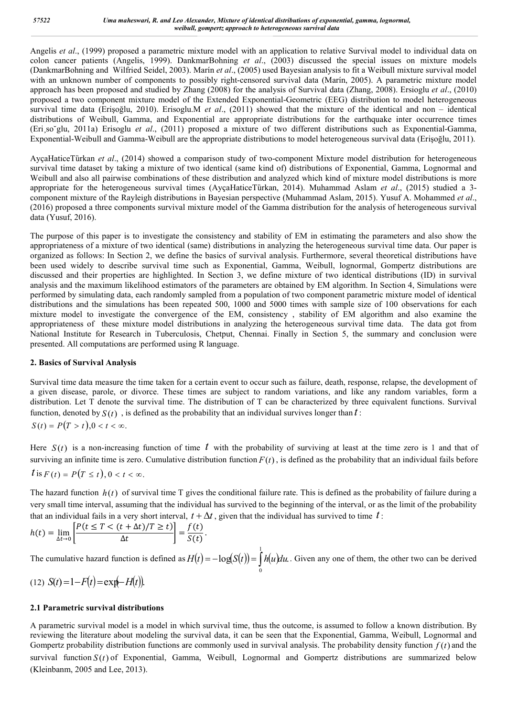Angelis *et al*., (1999) proposed a parametric mixture model with an application to relative Survival model to individual data on colon cancer patients (Angelis, 1999). DankmarBohning *et al*., (2003) discussed the special issues on mixture models (DankmarBohning and Wilfried Seidel, 2003). Marín *et al*., (2005) used Bayesian analysis to fit a Weibull mixture survival model with an unknown number of components to possibly right-censored survival data (Marín, 2005). A parametric mixture model approach has been proposed and studied by Zhang (2008) for the analysis of Survival data (Zhang, 2008). Ersioglu *et al*., (2010) proposed a two component mixture model of the Extended Exponential-Geometric (EEG) distribution to model heterogeneous survival time data (Erişoğlu, 2010). Erisoglu.M *et al*., (2011) showed that the mixture of the identical and non – identical distributions of Weibull, Gamma, and Exponential are appropriate distributions for the earthquake inter occurrence times (Eri¸so˘glu, 2011a) Erisoglu *et al*., (2011) proposed a mixture of two different distributions such as Exponential-Gamma, Exponential-Weibull and Gamma-Weibull are the appropriate distributions to model heterogeneous survival data (Erişoğlu, 2011).

AyçaHaticeTürkan et al., (2014) showed a comparison study of two-component Mixture model distribution for heterogeneous survival time dataset by taking a mixture of two identical (same kind of) distributions of Exponential, Gamma, Lognormal and Weibull and also all pairwise combinations of these distribution and analyzed which kind of mixture model distributions is more appropriate for the heterogeneous survival times (AyçaHaticeTürkan, 2014). Muhammad Aslam et al., (2015) studied a 3component mixture of the Rayleigh distributions in Bayesian perspective (Muhammad Aslam, 2015). Yusuf A. Mohammed *et al*., (2016) proposed a three components survival mixture model of the Gamma distribution for the analysis of heterogeneous survival data (Yusuf, 2016).

The purpose of this paper is to investigate the consistency and stability of EM in estimating the parameters and also show the appropriateness of a mixture of two identical (same) distributions in analyzing the heterogeneous survival time data. Our paper is organized as follows: In Section 2, we define the basics of survival analysis. Furthermore, several theoretical distributions have been used widely to describe survival time such as Exponential, Gamma, Weibull, lognormal, Gompertz distributions are discussed and their properties are highlighted. In Section 3, we define mixture of two identical distributions (ID) in survival analysis and the maximum likelihood estimators of the parameters are obtained by EM algorithm. In Section 4, Simulations were performed by simulating data, each randomly sampled from a population of two component parametric mixture model of identical distributions and the simulations has been repeated 500, 1000 and 5000 times with sample size of 100 observations for each mixture model to investigate the convergence of the EM, consistency , stability of EM algorithm and also examine the appropriateness of these mixture model distributions in analyzing the heterogeneous survival time data. The data got from National Institute for Research in Tuberculosis, Chetput, Chennai. Finally in Section 5, the summary and conclusion were presented. All computations are performed using R language.

# **2. Basics of Survival Analysis**

Survival time data measure the time taken for a certain event to occur such as failure, death, response, relapse, the development of a given disease, parole, or divorce. These times are subject to random variations, and like any random variables, form a distribution. Let T denote the survival time. The distribution of T can be characterized by three equivalent functions. Survival function, denoted by  $S(t)$ , is defined as the probability that an individual survives longer than  $t$ :  $S(t) = P(T > t)$   $0 < t < \infty$ 

Here  $S(t)$  is a non-increasing function of time t with the probability of surviving at least at the time zero is 1 and that of surviving an infinite time is zero. Cumulative distribution function  $F(t)$ , is defined as the probability that an individual fails before  $t$  is  $F(t) = P(T \le t), 0 < t < \infty$ .

The hazard function  $h(t)$  of survival time T gives the conditional failure rate. This is defined as the probability of failure during a very small time interval, assuming that the individual has survived to the beginning of the interval, or as the limit of the probability that an individual fails in a very short interval,  $t + \Delta t$ , given that the individual has survived to time t:

$$
h(t) = \lim_{\Delta t \to 0} \left[ \frac{P(t \leq T < (t + \Delta t)/T \geq t)}{\Delta t} \right] = \frac{f(t)}{S(t)}.
$$

The cumulative hazard function is defined as  $H(t) = -\log(S(t)) = |h(u)du$ . 1  $H(t) = -\log(S(t)) = \int_0^t h(u) du$ . Given any one of them, the other two can be derived

(12) 
$$
S(t) = 1 - F(t) = \exp(-H(t))
$$
.

# **2.1 Parametric survival distributions**

A parametric survival model is a model in which survival time, thus the outcome, is assumed to follow a known distribution. By reviewing the literature about modeling the survival data, it can be seen that the Exponential, Gamma, Weibull, Lognormal and Gompertz probability distribution functions are commonly used in survival analysis. The probability density function  $f(t)$  and the survival function  $S(t)$  of Exponential, Gamma, Weibull, Lognormal and Gompertz distributions are summarized below (Kleinbanm, 2005 and Lee, 2013).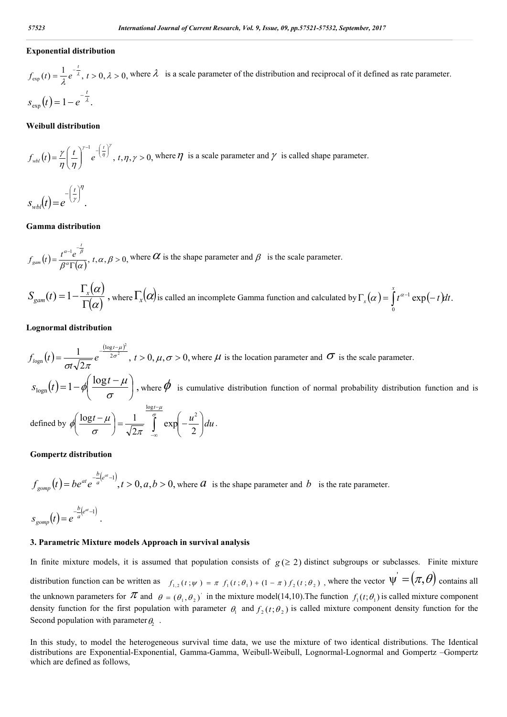# **Exponential distribution**

 $f_{\text{exp}}(t) = \frac{1}{\lambda} e^{-\frac{t}{\lambda}}, t > 0, \lambda > 0,$  $\frac{d}{dx}$ ,  $t > 0$ ,  $\lambda > 0$ , where  $\lambda$  is a scale parameter of the distribution and reciprocal of it defined as rate parameter.  $\exp(t) = 1 - e^{-\lambda}$ . *t*  $s_{\text{exp}}(t) = 1 - e^{-t}$ 

#### **Weibull distribution**

$$
f_{\text{wbl}}(t) = \frac{\gamma}{\eta} \left(\frac{t}{\eta}\right)^{\gamma-1} e^{-\left(\frac{t}{\eta}\right)^{\gamma}}, t, \eta, \gamma > 0, \text{ where } \eta \text{ is a scale parameter and } \gamma \text{ is called shape parameter.}
$$

 $(t) = e^{(\gamma)}$ . n,  $\frac{1}{\gamma}$  $-\left(\frac{t}{\gamma}\right)$  $=$ *t*  $s_{\textit{wbl}}(t) = e$ 

#### **Gamma distribution**

$$
f_{\text{gam}}(t) = \frac{t^{\alpha-1}e^{-\frac{t}{\beta}}}{\beta^{\alpha}\Gamma(\alpha)}, \ t, \alpha, \beta > 0, \text{ where } \alpha \text{ is the shape parameter and } \beta \text{ is the scale parameter.}
$$

$$
S_{\text{gam}}(t) = 1 - \frac{\Gamma_x(\alpha)}{\Gamma(\alpha)}
$$
, where  $\Gamma_x(\alpha)$  is called an incomplete Gamma function and calculated by  $\Gamma_x(\alpha) = \int_0^x t^{\alpha-1} \exp(-t) dt$ .

#### **Lognormal distribution**

$$
f_{\text{logn}}(t) = \frac{1}{\sigma t \sqrt{2\pi}} e^{-\frac{(\log t - \mu)^2}{2\sigma^2}}, t > 0, \mu, \sigma > 0, \text{ where } \mu \text{ is the location parameter and } \sigma \text{ is the scale parameter.}
$$
  
\n
$$
s_{\text{logn}}(t) = 1 - \phi \left( \frac{\log t - \mu}{\sigma} \right), \text{ where } \phi \text{ is cumulative distribution function of normal probability distribution function and is}
$$
  
\ndefined by  $\phi \left( \frac{\log t - \mu}{\sigma} \right) = \frac{1}{\sqrt{2\pi}} \int_{-\infty}^{\frac{\log t - \mu}{\sigma}} \exp \left( -\frac{u^2}{2} \right) du$ .

#### **Gompertz distribution**

$$
f_{gomp}(t) = be^{at}e^{-\frac{b}{a}(e^{at}-1)}, t > 0, a, b > 0, \text{ where } a \text{ is the shape parameter and } b \text{ is the rate parameter.}
$$
  

$$
s_{gomp}(t) = e^{-\frac{b}{a}(e^{at}-1)}.
$$

#### **3. Parametric Mixture models Approach in survival analysis**

In finite mixture models, it is assumed that population consists of  $g(\geq 2)$  distinct subgroups or subclasses. Finite mixture distribution function can be written as  $f_{1,2}(t; \psi) = \pi f_1(t; \theta_1) + (1 - \pi) f_2(t; \theta_2)$ , where the vector  $\psi = (\pi, \theta)$  contains all the unknown parameters for  $\pi$  and  $\theta = (\theta_1, \theta_2)$  in the mixture model(14,10). The function  $f_1(t; \theta_1)$  is called mixture component density function for the first population with parameter  $\theta_1$  and  $f_2(t;\theta_2)$  is called mixture component density function for the Second population with parameter  $\theta_2$ .

In this study, to model the heterogeneous survival time data, we use the mixture of two identical distributions. The Identical distributions are Exponential-Exponential, Gamma-Gamma, Weibull-Weibull, Lognormal-Lognormal and Gompertz –Gompertz which are defined as follows,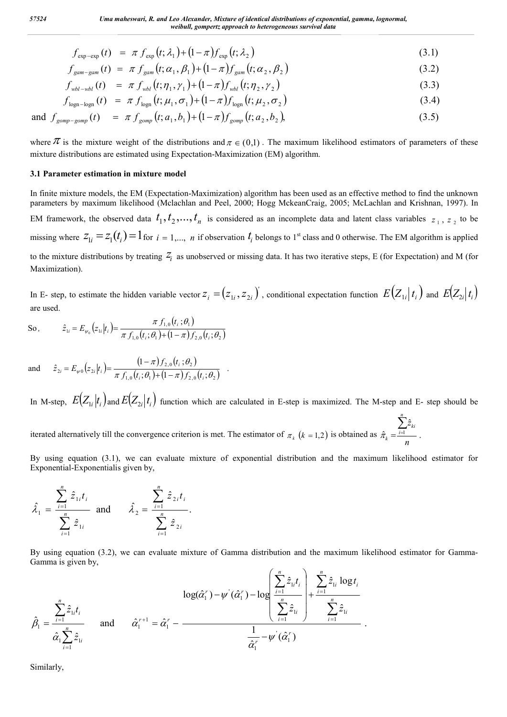$$
f_{\exp-\exp}(t) = \pi f_{\exp}(t; \lambda_1) + (1 - \pi) f_{\exp}(t; \lambda_2)
$$
\n(3.1)

$$
f_{\text{gam-gam}}(t) = \pi f_{\text{gam}}(t; \alpha_1, \beta_1) + (1 - \pi) f_{\text{gam}}(t; \alpha_2, \beta_2) \tag{3.2}
$$

$$
f_{\text{wbl - wbl}}(t) = \pi f_{\text{wbl}}(t; \eta_1, \gamma_1) + (1 - \pi) f_{\text{wbl}}(t; \eta_2, \gamma_2)
$$
\n(3.3)

$$
f_{\text{logn-logn}}(t) = \pi f_{\text{logn}}(t; \mu_1, \sigma_1) + (1 - \pi) f_{\text{logn}}(t; \mu_2, \sigma_2)
$$
\n(3.4)

and 
$$
f_{gomp-gomp}(t) = \pi f_{gomp}(t; a_1, b_1) + (1 - \pi) f_{gomp}(t; a_2, b_2),
$$
 (3.5)

where  $\pi$  is the mixture weight of the distributions and  $\pi \in (0,1)$ . The maximum likelihood estimators of parameters of these mixture distributions are estimated using Expectation-Maximization (EM) algorithm.

## **3.1 Parameter estimation in mixture model**

In finite mixture models, the EM (Expectation-Maximization) algorithm has been used as an effective method to find the unknown parameters by maximum likelihood (Mclachlan and Peel, 2000; Hogg MckeanCraig, 2005; McLachlan and Krishnan, 1997). In EM framework, the observed data  $t_1, t_2, \ldots, t_n$  is considered as an incomplete data and latent class variables  $z_1, z_2$  to be missing where  $z_{1i} = z_1(t_i) = 1$  for  $i = 1,..., n$  if observation  $t_i$  belongs to 1<sup>st</sup> class and 0 otherwise. The EM algorithm is applied to the mixture distributions by treating  $Z_i$  as unobserved or missing data. It has two iterative steps, E (for Expectation) and M (for Maximization).

In E- step, to estimate the hidden variable vector  $z_i = (z_{1i}, z_{2i})'$ , conditional expectation function  $E(Z_{1i}|t_i)$  and  $E(Z_{2i}|t_i)$ are used.

So, 
$$
\hat{z}_{1i} = E_{\psi_0}(z_{1i}|t_i) = \frac{\pi f_{1,0}(t_i;\theta_1)}{\pi f_{1,0}(t_i;\theta_1) + (1-\pi)f_{2,0}(t_i;\theta_2)}
$$

and 
$$
\hat{z}_{2i} = E_{\psi 0}(z_{2i}|t_i) = \frac{(1-\pi)f_{2,0}(t_i;\theta_2)}{\pi f_{1,0}(t_i;\theta_1) + (1-\pi)f_{2,0}(t_i;\theta_2)}
$$
.

In M-step,  $E(Z_{1i}|t_i)$  and  $E(Z_{2i}|t_i)$  function which are calculated in E-step is maximized. The M-step and E- step should be

iterated alternatively till the convergence criterion is met. The estimator of  $\pi_k$  ( $k = 1,2$ ) is obtained as  $\hat{\pi}_k = \frac{i-1}{k}$ .  $\hat{z}$  $\hat{\pi}_{\scriptscriptstyle{k}} = \stackrel{\scriptscriptstyle{i} = 1}{\scriptscriptstyle{-}}$ *n*  $\sum_{i=1}^{n}$  $\sum_{i=1}^{\infty} k_i$  $\hat{\pi}_k = \frac{\sum_{i=1}^k}{\sum_{i=1}^{k}}$ 

By using equation (3.1), we can evaluate mixture of exponential distribution and the maximum likelihood estimator for Exponential-Exponentialis given by,

$$
\hat{\lambda}_1 = \frac{\sum_{i=1}^n \hat{z}_{1i} t_i}{\sum_{i=1}^n \hat{z}_{1i}} \text{ and } \hat{\lambda}_2 = \frac{\sum_{i=1}^n \hat{z}_{2i} t_i}{\sum_{i=1}^n \hat{z}_{2i}}.
$$

By using equation (3.2), we can evaluate mixture of Gamma distribution and the maximum likelihood estimator for Gamma-Gamma is given by,

$$
\hat{\beta}_1 = \frac{\sum_{i=1}^n \hat{z}_{1i} t_i}{\hat{\alpha}_1 \sum_{i=1}^n \hat{z}_{1i}} \quad \text{and} \quad \hat{\alpha}_1^{r+1} = \hat{\alpha}_1^r - \frac{1}{\hat{\alpha}_1^r - \mu^r(\hat{\alpha}_1^r) - \mu^r(\hat{\alpha}_1^r)} \frac{1}{\hat{\alpha}_1^r - \mu^r(\hat{\alpha}_1^r)} + \frac{\sum_{i=1}^n \hat{z}_{1i} \log t_i}{\sum_{i=1}^n \hat{z}_{1i}}}{\frac{1}{\hat{\alpha}_1^r - \mu^r(\hat{\alpha}_1^r)}.
$$

Similarly,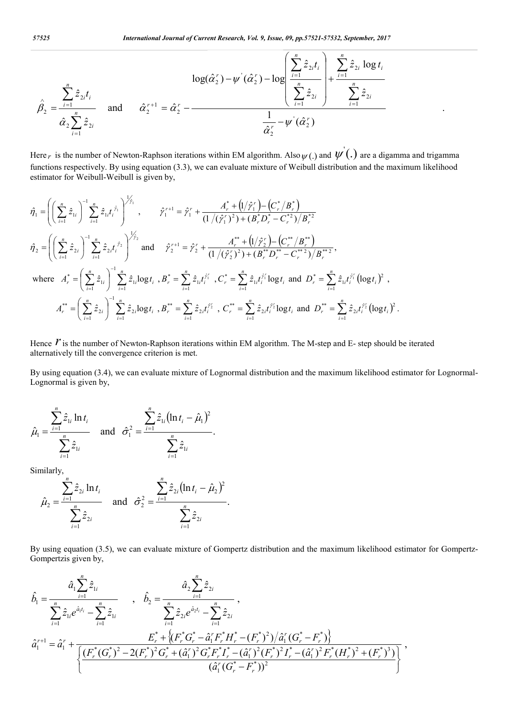.

$$
\hat{\beta}_2 = \frac{\sum_{i=1}^n \hat{z}_{2i} t_i}{\hat{\alpha}_2 \sum_{i=1}^n \hat{z}_{2i}} \quad \text{and} \quad \hat{\alpha}_2^{r+1} = \hat{\alpha}_2^r - \frac{1}{\hat{\alpha}_2^r} \frac{1}{\hat{\alpha}_2^r} - \frac{1}{\hat{\alpha}_2^r} \frac{1}{\hat{\alpha}_2^r} \frac{1}{\hat{\alpha}_2^r} \frac{1}{\hat{\alpha}_2^r} \frac{1}{\hat{\alpha}_2^r} \frac{1}{\hat{\alpha}_2^r} \frac{1}{\hat{\alpha}_2^r} \frac{1}{\hat{\alpha}_2^r} \frac{1}{\hat{\alpha}_2^r} \frac{1}{\hat{\alpha}_2^r} \frac{1}{\hat{\alpha}_2^r} \frac{1}{\hat{\alpha}_2^r} \frac{1}{\hat{\alpha}_2^r} \frac{1}{\hat{\alpha}_2^r} \frac{1}{\hat{\alpha}_2^r} \frac{1}{\hat{\alpha}_2^r} \frac{1}{\hat{\alpha}_2^r} \frac{1}{\hat{\alpha}_2^r} \frac{1}{\hat{\alpha}_2^r} \frac{1}{\hat{\alpha}_2^r} \frac{1}{\hat{\alpha}_2^r} \frac{1}{\hat{\alpha}_2^r} \frac{1}{\hat{\alpha}_2^r} \frac{1}{\hat{\alpha}_2^r} \frac{1}{\hat{\alpha}_2^r} \frac{1}{\hat{\alpha}_2^r} \frac{1}{\hat{\alpha}_2^r} \frac{1}{\hat{\alpha}_2^r} \frac{1}{\hat{\alpha}_2^r} \frac{1}{\hat{\alpha}_2^r} \frac{1}{\hat{\alpha}_2^r} \frac{1}{\hat{\alpha}_2^r} \frac{1}{\hat{\alpha}_2^r} \frac{1}{\hat{\alpha}_2^r} \frac{1}{\hat{\alpha}_2^r} \frac{1}{\hat{\alpha}_2^r} \frac{1}{\hat{\alpha}_2^r} \frac{1}{\hat{\alpha}_2^r} \frac{1}{\hat{\alpha}_2^r} \frac{1}{\hat{\alpha}_2^r} \frac{1}{\hat{\alpha}_2^r} \frac{1}{\hat{\alpha}_2^r} \frac{1}{\hat{\alpha}_2^r} \frac{1}{\hat{\alpha}_2^r} \frac{1}{\hat{\alpha}_2^r} \frac{1}{\hat{\alpha}_2^r} \frac{1}{
$$

Here *r* is the number of Newton-Raphson iterations within EM algorithm. Also  $\psi(.)$  and  $\psi'(.)$  are a digamma and trigamma functions respectively. By using equation (3.3), we can evaluate mixture of Weibull distribution and the maximum likelihood estimator for Weibull-Weibull is given by,

$$
\hat{\eta}_{1} = \left( \left( \sum_{i=1}^{n} \hat{z}_{1i} \right)^{-1} \sum_{i=1}^{n} \hat{z}_{1i} t_{i}^{\hat{r}_{1}} \right)^{1/2}, \qquad \hat{\gamma}_{1}^{r+1} = \hat{\gamma}_{1}^{r} + \frac{A_{r}^{*} + (1/\hat{\gamma}_{1}^{r}) - (C_{r}^{*}/B_{r}^{*})}{(1/(\hat{\gamma}_{1}^{r})^{2}) + (B_{r}^{*}D_{r}^{*} - C_{r}^{*2})/B_{r}^{*2}} \n\hat{\eta}_{2} = \left( \left( \sum_{i=1}^{n} \hat{z}_{2i} \right)^{-1} \sum_{i=1}^{n} \hat{z}_{2i} t_{i}^{\hat{r}_{2}} \right)^{1/2} \text{ and } \hat{\gamma}_{2}^{r+1} = \hat{\gamma}_{2}^{r} + \frac{A_{r}^{**} + (1/\hat{\gamma}_{2}^{r}) - (C_{r}^{**}/B_{r}^{**})}{(1/(\hat{\gamma}_{2}^{r})^{2}) + (B_{r}^{**}D_{r}^{**} - C_{r}^{*2})/B_{r}^{**}} \n\text{where } A_{r}^{*} = \left( \sum_{i=1}^{n} \hat{z}_{1i} \right)^{-1} \sum_{i=1}^{n} \hat{z}_{1i} \log t_{i} , B_{r}^{*} = \sum_{i=1}^{n} \hat{z}_{1i} t_{i}^{\hat{r}_{i}} , C_{r}^{*} = \sum_{i=1}^{n} \hat{z}_{1i} t_{i}^{\hat{r}_{i}} \log t_{i} \text{ and } D_{r}^{*} = \sum_{i=1}^{n} \hat{z}_{1i} t_{i}^{\hat{r}_{i}} \left( \log t_{i} \right)^{2} ,
$$
\n
$$
A_{r}^{**} = \left( \sum_{i=1}^{n} \hat{z}_{2i} \right)^{-1} \sum_{i=1}^{n} \hat{z}_{2i} \log t_{i} , B_{r}^{**} = \sum_{i=1}^{n} \hat{z}_{2i} t_{i}^{\hat{r}_{2}^{*}} , C_{r}^{**} = \sum_{i=1}^{n} \hat{z}_{2i} t_{i}^{\hat{r}_{2}^{*}} \log t_{i
$$

Hence  $\hat{r}$  is the number of Newton-Raphson iterations within EM algorithm. The M-step and E- step should be iterated alternatively till the convergence criterion is met.

By using equation (3.4), we can evaluate mixture of Lognormal distribution and the maximum likelihood estimator for Lognormal-Lognormal is given by,

$$
\hat{\mu}_1 = \frac{\sum_{i=1}^n \hat{z}_{1i} \ln t_i}{\sum_{i=1}^n \hat{z}_{1i}} \quad \text{and} \quad \hat{\sigma}_1^2 = \frac{\sum_{i=1}^n \hat{z}_{1i} (\ln t_i - \hat{\mu}_1)^2}{\sum_{i=1}^n \hat{z}_{1i}}.
$$

Similarly,

$$
\hat{\mu}_2 = \frac{\sum_{i=1}^n \hat{z}_{2i} \ln t_i}{\sum_{i=1}^n \hat{z}_{2i}} \quad \text{and} \quad \hat{\sigma}_2^2 = \frac{\sum_{i=1}^n \hat{z}_{2i} (\ln t_i - \hat{\mu}_2)^2}{\sum_{i=1}^n \hat{z}_{2i}}.
$$

By using equation (3.5), we can evaluate mixture of Gompertz distribution and the maximum likelihood estimator for Gompertz-Gompertzis given by,

$$
\hat{b}_1 = \frac{\hat{a}_1 \sum_{i=1}^n \hat{z}_{1i}}{\sum_{i=1}^n \hat{z}_{1i} e^{\hat{a}_1 t_i} - \sum_{i=1}^n \hat{z}_{1i}}, \quad \hat{b}_2 = \frac{\hat{a}_2 \sum_{i=1}^n \hat{z}_{2i}}{\sum_{i=1}^n \hat{z}_{2i} e^{\hat{a}_2 t_i} - \sum_{i=1}^n \hat{z}_{2i}},
$$
\n
$$
\hat{a}_1^{r+1} = \hat{a}_1^r + \frac{E_r^* + \{(F_r^* G_r^* - \hat{a}_1^r F_r^* H_r^* - (F_r^*)^2)/\hat{a}_1^r (G_r^* - F_r^*)\}}{\left\{\frac{(F_r^*(G_r^*)^2 - 2(F_r^*)^2 G_r^* + (\hat{a}_1^r)^2 G_r^* F_r^* I_r^* - (\hat{a}_1^r)^2 (F_r^*)^2 I_r^* - (\hat{a}_1^r)^2 F_r^* (H_r^*)^2 + (F_r^*)^3)}{(\hat{a}_1^r (G_r^* - F_r^*))^2}\right\}},
$$

*n*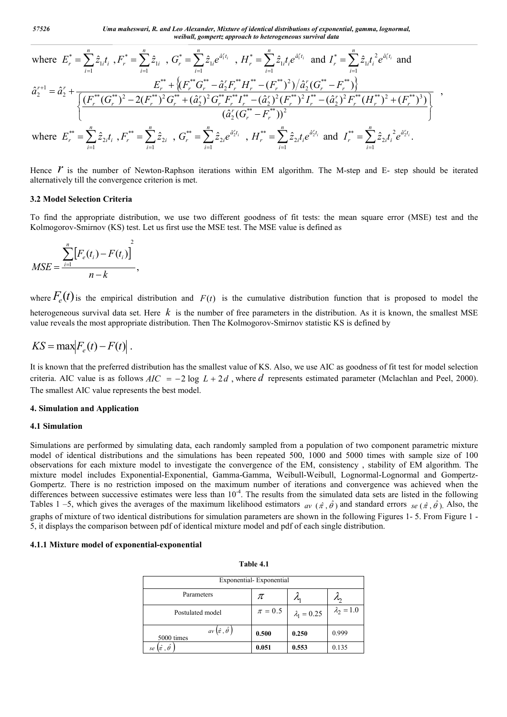*57526 Uma maheswari, R. and Leo Alexander, Mixture of identical distributions of exponential, gamma, lognormal, weibull, gompertz approach to heterogeneous survival data*

where 
$$
E_r^* = \sum_{i=1}^n \hat{z}_{1i}t_i
$$
,  $F_r^* = \sum_{i=1}^n \hat{z}_{1i}$ ,  $G_r^* = \sum_{i=1}^n \hat{z}_{1i}e^{\hat{a}_i^r t_i}$ ,  $H_r^* = \sum_{i=1}^n \hat{z}_{1i}t_i e^{\hat{a}_i^r t_i}$  and  $I_r^* = \sum_{i=1}^n \hat{z}_{1i}t_i^2 e^{\hat{a}_i^r t_i}$  and  
\n
$$
\hat{a}_2^{r+1} = \hat{a}_2^r + \frac{E_r^{**} + \{(F_r^{**}G_r^{**} - \hat{a}_2^r F_r^{**} H_r^{**} - (F_r^{**})^2)/\hat{a}_2^r (G_r^{**} - F_r^{**})\}}{\{(F_r^{**}(G_r^{**})^2 - 2(F_r^{**})^2 G_r^{**} + (\hat{a}_2^r)^2 G_r^{**} F_r^{**} I_r^{**} - (\hat{a}_2^r)^2 (F_r^{**})^2 I_r^{**} - (\hat{a}_2^r)^2 F_r^{**} (H_r^{**})^2 + (F_r^{**})^3)\}} \cdot \frac{(\hat{a}_2^r (G_r^{**} - F_r^{**}))^2}{(\hat{a}_2^r (G_r^{**} - F_r^{**}))^2}
$$

Hence  $\dot{r}$  is the number of Newton-Raphson iterations within EM algorithm. The M-step and E- step should be iterated alternatively till the convergence criterion is met.

#### **3.2 Model Selection Criteria**

To find the appropriate distribution, we use two different goodness of fit tests: the mean square error (MSE) test and the Kolmogorov-Smirnov (KS) test. Let us first use the MSE test. The MSE value is defined as

$$
MSE = \frac{\sum_{i=1}^{n} [F_e(t_i) - F(t_i)]^2}{n - k},
$$

where  $F_e(t)$  is the empirical distribution and  $F(t)$  is the cumulative distribution function that is proposed to model the heterogeneous survival data set. Here *k* is the number of free parameters in the distribution. As it is known, the smallest MSE value reveals the most appropriate distribution. Then The Kolmogorov-Smirnov statistic KS is defined by

$$
KS = \max \left| F_e(t) - F(t) \right|.
$$

It is known that the preferred distribution has the smallest value of KS. Also, we use AIC as goodness of fit test for model selection criteria. AIC value is as follows  $AIC = -2 \log L + 2d$ , where *d* represents estimated parameter (Mclachlan and Peel, 2000). The smallest AIC value represents the best model.

#### **4. Simulation and Application**

## **4.1 Simulation**

Simulations are performed by simulating data, each randomly sampled from a population of two component parametric mixture model of identical distributions and the simulations has been repeated 500, 1000 and 5000 times with sample size of 100 observations for each mixture model to investigate the convergence of the EM, consistency , stability of EM algorithm. The mixture model includes Exponential-Exponential, Gamma-Gamma, Weibull-Weibull, Lognormal-Lognormal and Gompertz-Gompertz. There is no restriction imposed on the maximum number of iterations and convergence was achieved when the differences between successive estimates were less than  $10^{-4}$ . The results from the simulated data sets are listed in the following Tables 1 –5, which gives the averages of the maximum likelihood estimators  $a_v$  ( $\hat{\tau}$ ,  $\hat{\theta}$ ) and standard errors  $se$  ( $\hat{\tau}$ ,  $\hat{\theta}$ ). Also, the graphs of mixture of two identical distributions for simulation parameters are shown in the following Figures 1- 5. From Figure 1 - 5, it displays the comparison between pdf of identical mixture model and pdf of each single distribution.

# **4.1.1 Mixture model of exponential-exponential**

| Exponential-Exponential                      |             |                    |                   |  |  |  |  |
|----------------------------------------------|-------------|--------------------|-------------------|--|--|--|--|
| Parameters                                   | π           | Л                  | 'n                |  |  |  |  |
| Postulated model                             | $\pi = 0.5$ | $\lambda_1 = 0.25$ | $\lambda_2 = 1.0$ |  |  |  |  |
| av $(\hat{\pi}, \hat{\theta})$<br>5000 times | 0.500       | 0.250              | 0.999             |  |  |  |  |
| $(\hat{\pi}$ , $\hat{\theta}$<br>se          | 0.051       | 0.553              | 0.135             |  |  |  |  |

**Table 4.1**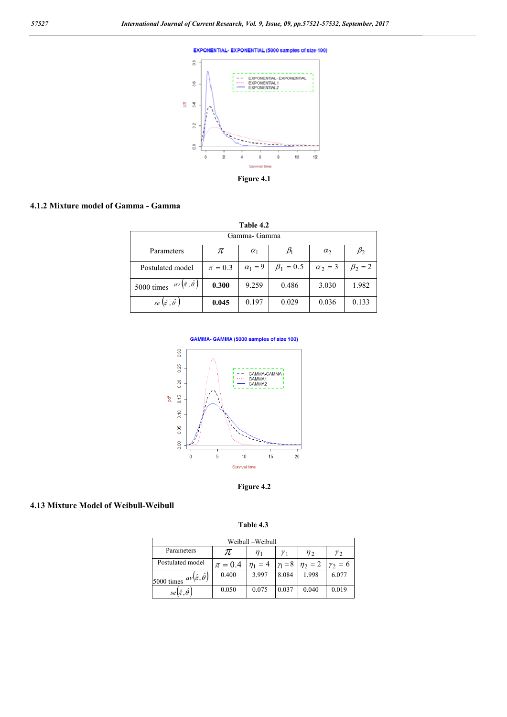

## **4.1.2 Mixture model of Gamma - Gamma**

| Table 4.2                                   |             |                |                 |                |             |  |  |  |
|---------------------------------------------|-------------|----------------|-----------------|----------------|-------------|--|--|--|
| Gamma- Gamma                                |             |                |                 |                |             |  |  |  |
| Parameters                                  | π           | $\alpha_1$     |                 | $\alpha_2$     | $\beta_2$   |  |  |  |
| Postulated model                            | $\pi = 0.3$ | $\alpha_1 = 9$ | $\beta_1 = 0.5$ | $\alpha_2 = 3$ | $\beta_2=2$ |  |  |  |
| $av(\hat{\pi}, \hat{\theta})$<br>5000 times | 0.300       | 9.259          | 0.486           | 3.030          | 1.982       |  |  |  |
| se $(\hat{\pi}, \hat{\theta})$              | 0.045       | 0.197          | 0.029           | 0.036          | 0.133       |  |  |  |







# **4.13 Mixture Model of Weibull-Weibull**

**Table 4.3**

| Weibull –Weibull                            |               |              |         |                             |                |  |  |  |
|---------------------------------------------|---------------|--------------|---------|-----------------------------|----------------|--|--|--|
| Parameters                                  | π<br>$\eta_1$ |              | $n_{2}$ | $\gamma_{2}$                |                |  |  |  |
| Postulated model                            | $\pi = 0.4$   | $\eta_1 = 4$ |         | $\gamma_1 = 8$ $\eta_2 = 2$ | $\gamma_2 = 6$ |  |  |  |
| $av(\hat{\pi}, \hat{\theta})$<br>5000 times | 0.400         | 3.997        | 8.084   | 1.998                       | 6.077          |  |  |  |
| $se(\hat{\pi},\theta)$                      | 0.050         | 0.075        | 0.037   | 0.040                       | 0.019          |  |  |  |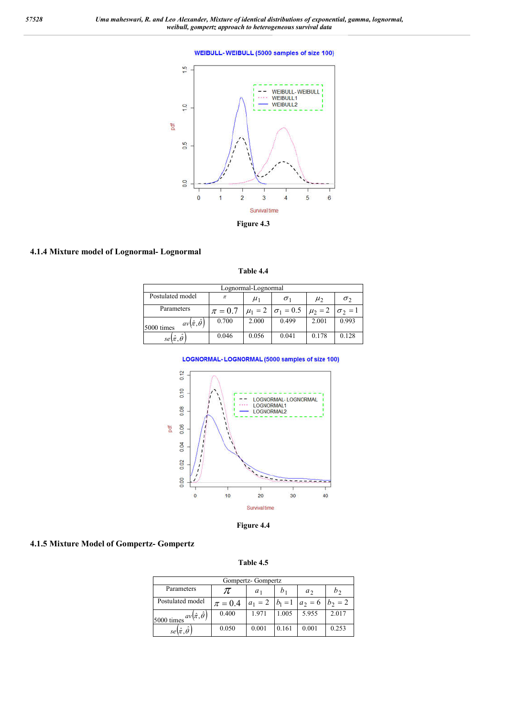#### **WEIBULL-WEIBULL (5000 samples of size 100)**



# **4.1.4 Mixture model of Lognormal- Lognormal**

**Table 4.4**

| Lognormal-Lognormal                         |             |         |                                 |             |                |  |  |  |
|---------------------------------------------|-------------|---------|---------------------------------|-------------|----------------|--|--|--|
| Postulated model                            | $\pi$       | $\mu_1$ | $\sigma_1$                      | $\mu_2$     | $\sigma_2$     |  |  |  |
| Parameters                                  | $\pi = 0.7$ |         | $\mu_1 = 2 \mid \sigma_1 = 0.5$ | $\mu_2 = 2$ | $\sigma_2 = 1$ |  |  |  |
| $av(\hat{\pi}, \hat{\theta})$<br>5000 times | 0.700       | 2.000   | 0.499                           | 2.001       | 0.993          |  |  |  |
| $se(\hat{\pi},\hat{\theta})$                | 0.046       | 0.056   | 0.041                           | 0.178       | 0.128          |  |  |  |

| <b>LOGNORMAL-LOGNORMAL (5000 samples of size 100)</b> |
|-------------------------------------------------------|
|-------------------------------------------------------|



**Figure 4.4**

# **4.1.5 Mixture Model of Gompertz- Gompertz**

**Table 4.5**

| Gompertz-Gompertz                                         |             |                |       |                        |                |  |  |  |  |
|-----------------------------------------------------------|-------------|----------------|-------|------------------------|----------------|--|--|--|--|
| Parameters                                                | 7L          | a <sub>1</sub> | $b_1$ | $a_{2}$                | b <sub>2</sub> |  |  |  |  |
| Postulated model                                          | $\pi = 0.4$ | $a_1 = 2$      |       | $b_1 = 1 \mid a_2 = 6$ | $b_2 = 2$      |  |  |  |  |
| $\frac{5000 \text{ times}}{a v(\hat{\pi}, \hat{\theta})}$ | 0.400       | 1.971          | 1.005 | 5.955                  | 2.017          |  |  |  |  |
| $se(\hat{\pi}, \hat{\theta})$                             | 0.050       | 0.001          | 0.161 | 0.001                  | 0.253          |  |  |  |  |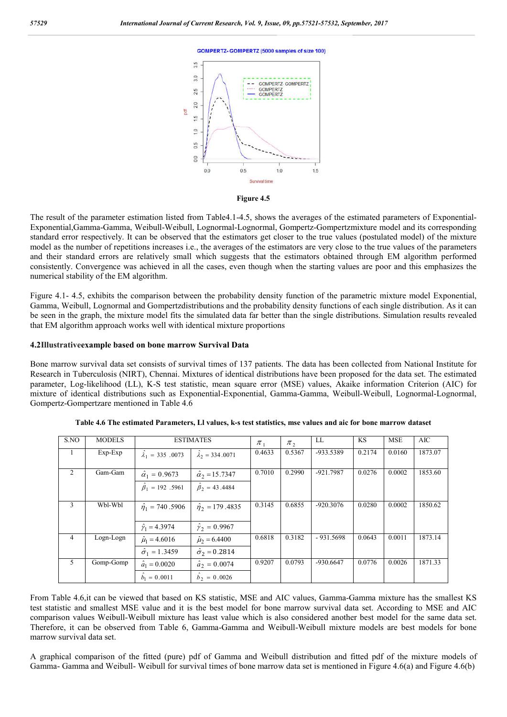**GOMPERTZ-GOMPERTZ (5000 samples of size 100)** 





The result of the parameter estimation listed from Table4.1-4.5, shows the averages of the estimated parameters of Exponential-Exponential,Gamma-Gamma, Weibull-Weibull, Lognormal-Lognormal, Gompertz-Gompertzmixture model and its corresponding standard error respectively. It can be observed that the estimators get closer to the true values (postulated model) of the mixture model as the number of repetitions increases i.e., the averages of the estimators are very close to the true values of the parameters and their standard errors are relatively small which suggests that the estimators obtained through EM algorithm performed consistently. Convergence was achieved in all the cases, even though when the starting values are poor and this emphasizes the numerical stability of the EM algorithm.

Figure 4.1- 4.5, exhibits the comparison between the probability density function of the parametric mixture model Exponential, Gamma, Weibull, Lognormal and Gompertzdistributions and the probability density functions of each single distribution. As it can be seen in the graph, the mixture model fits the simulated data far better than the single distributions. Simulation results revealed that EM algorithm approach works well with identical mixture proportions

#### **4.2Illustrativeexample based on bone marrow Survival Data**

Bone marrow survival data set consists of survival times of 137 patients. The data has been collected from National Institute for Research in Tuberculosis (NIRT), Chennai. Mixtures of identical distributions have been proposed for the data set. The estimated parameter, Log-likelihood (LL), K-S test statistic, mean square error (MSE) values, Akaike information Criterion (AIC) for mixture of identical distributions such as Exponential-Exponential, Gamma-Gamma, Weibull-Weibull, Lognormal-Lognormal, Gompertz-Gompertzare mentioned in Table 4.6

| S.NO           | <b>MODELS</b> |                                                          | <b>ESTIMATES</b>                                        | $\pi$ <sub>1</sub> | $\pi$ , | LL          | <b>KS</b> | <b>MSE</b> | AIC     |
|----------------|---------------|----------------------------------------------------------|---------------------------------------------------------|--------------------|---------|-------------|-----------|------------|---------|
| $\mathbf{1}$   | $Exp-Exp$     | $\hat{\lambda}_1 = 335.0073$                             | $\hat{\lambda}_2 = 334.0071$                            | 0.4633             | 0.5367  | -933.5389   | 0.2174    | 0.0160     | 1873.07 |
| $\overline{2}$ | Gam-Gam       | $\hat{\alpha}_1 = 0.9673$<br>$\hat{\beta}_1 = 192$ .5961 | $\hat{\alpha}_2 = 15.7347$<br>$\hat{\beta}_2$ = 43.4484 | 0.7010             | 0.2990  | $-921.7987$ | 0.0276    | 0.0002     | 1853.60 |
| 3              | Wbl-Wbl       | $\hat{\eta}_1 = 740.5906$<br>$\hat{\gamma}_1 = 4.3974$   | $\hat{\eta}_2 = 179.4835$<br>$\hat{\gamma}_2 = 0.9967$  | 0.3145             | 0.6855  | $-920.3076$ | 0.0280    | 0.0002     | 1850.62 |
| $\overline{4}$ | Logn-Logn     | $\hat{\mu}_1 = 4.6016$<br>$\hat{\sigma}_1 = 1.3459$      | $\hat{\mu}_2 = 6.4400$<br>$\hat{\sigma}_2 = 0.2814$     | 0.6818             | 0.3182  | $-931.5698$ | 0.0643    | 0.0011     | 1873.14 |
| 5              | Gomp-Gomp     | $\hat{a}_1 = 0.0020$<br>$b_1 = 0.0011$                   | $\hat{a}_2 = 0.0074$<br>$b_2 = 0.0026$                  | 0.9207             | 0.0793  | $-930.6647$ | 0.0776    | 0.0026     | 1871.33 |

From Table 4.6,it can be viewed that based on KS statistic, MSE and AIC values, Gamma-Gamma mixture has the smallest KS test statistic and smallest MSE value and it is the best model for bone marrow survival data set. According to MSE and AIC comparison values Weibull-Weibull mixture has least value which is also considered another best model for the same data set. Therefore, it can be observed from Table 6, Gamma-Gamma and Weibull-Weibull mixture models are best models for bone marrow survival data set.

A graphical comparison of the fitted (pure) pdf of Gamma and Weibull distribution and fitted pdf of the mixture models of Gamma- Gamma and Weibull- Weibull for survival times of bone marrow data set is mentioned in Figure 4.6(a) and Figure 4.6(b)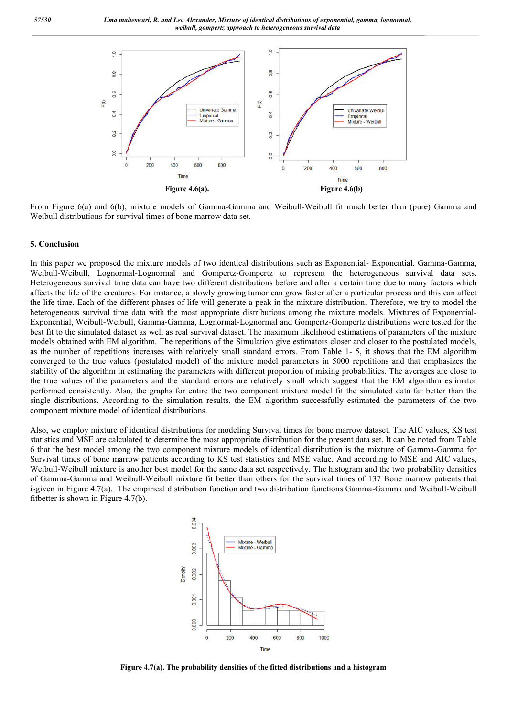

From Figure 6(a) and 6(b), mixture models of Gamma-Gamma and Weibull-Weibull fit much better than (pure) Gamma and Weibull distributions for survival times of bone marrow data set.

#### **5. Conclusion**

In this paper we proposed the mixture models of two identical distributions such as Exponential- Exponential, Gamma-Gamma, Weibull-Weibull, Lognormal-Lognormal and Gompertz-Gompertz to represent the heterogeneous survival data sets. Heterogeneous survival time data can have two different distributions before and after a certain time due to many factors which affects the life of the creatures. For instance, a slowly growing tumor can grow faster after a particular process and this can affect the life time. Each of the different phases of life will generate a peak in the mixture distribution. Therefore, we try to model the heterogeneous survival time data with the most appropriate distributions among the mixture models. Mixtures of Exponential-Exponential, Weibull-Weibull, Gamma-Gamma, Lognormal-Lognormal and Gompertz-Gompertz distributions were tested for the best fit to the simulated dataset as well as real survival dataset. The maximum likelihood estimations of parameters of the mixture models obtained with EM algorithm. The repetitions of the Simulation give estimators closer and closer to the postulated models, as the number of repetitions increases with relatively small standard errors. From Table 1- 5, it shows that the EM algorithm converged to the true values (postulated model) of the mixture model parameters in 5000 repetitions and that emphasizes the stability of the algorithm in estimating the parameters with different proportion of mixing probabilities. The averages are close to the true values of the parameters and the standard errors are relatively small which suggest that the EM algorithm estimator performed consistently. Also, the graphs for entire the two component mixture model fit the simulated data far better than the single distributions. According to the simulation results, the EM algorithm successfully estimated the parameters of the two component mixture model of identical distributions.

Also, we employ mixture of identical distributions for modeling Survival times for bone marrow dataset. The AIC values, KS test statistics and MSE are calculated to determine the most appropriate distribution for the present data set. It can be noted from Table 6 that the best model among the two component mixture models of identical distribution is the mixture of Gamma-Gamma for Survival times of bone marrow patients according to KS test statistics and MSE value. And according to MSE and AIC values, Weibull-Weibull mixture is another best model for the same data set respectively. The histogram and the two probability densities of Gamma-Gamma and Weibull-Weibull mixture fit better than others for the survival times of 137 Bone marrow patients that isgiven in Figure 4.7(a). The empirical distribution function and two distribution functions Gamma-Gamma and Weibull-Weibull fitbetter is shown in Figure 4.7(b).



**Figure 4.7(a). The probability densities of the fitted distributions and a histogram**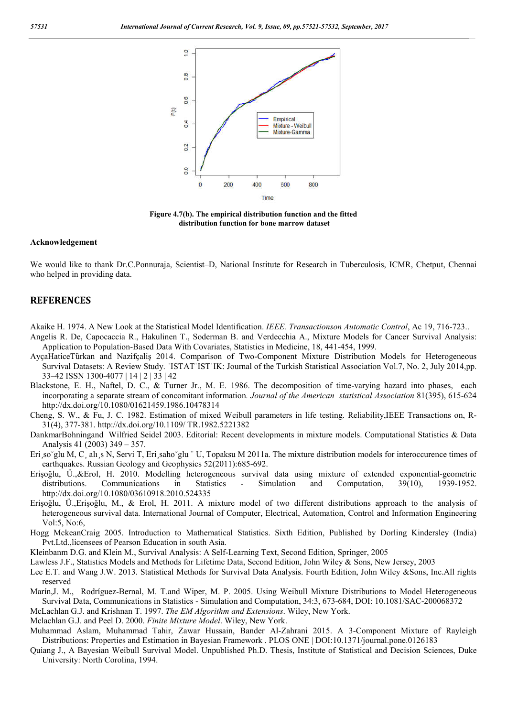

**Figure 4.7(b). The empirical distribution function and the fitted distribution function for bone marrow dataset**

#### **Acknowledgement**

We would like to thank Dr.C.Ponnuraja, Scientist–D, National Institute for Research in Tuberculosis, ICMR, Chetput, Chennai who helped in providing data.

# **REFERENCES**

- Akaike H. 1974. A New Look at the Statistical Model Identification. *IEEE. Transactionson Automatic Control*, Ac 19, 716-723..
- Angelis R. De, Capocaccia R., Hakulinen T., Soderman B. and Verdecchia A., Mixture Models for Cancer Survival Analysis: Application to Population-Based Data With Covariates, Statistics in Medicine, 18, 441-454, 1999.
- AyҫaHaticeTȕrkan and Nazifҫaliş 2014. Comparison of Two-Component Mixture Distribution Models for Heterogeneous Survival Datasets: A Review Study. ˙ISTAT˙IST˙IK: Journal of the Turkish Statistical Association Vol.7, No. 2, July 2014,pp. 33–42 ISSN 1300-4077 | 14 | 2 | 33 | 42
- Blackstone, E. H., Naftel, D. C., & Turner Jr., M. E. 1986. The decomposition of time-varying hazard into phases, each incorporating a separate stream of concomitant information*. Journal of the American statistical Association* 81(395), 615-624 http://dx.doi.org/10.1080/01621459.1986.10478314
- Cheng, S. W., & Fu, J. C. 1982. Estimation of mixed Weibull parameters in life testing. Reliability,IEEE Transactions on, R-31(4), 377-381. http://dx.doi.org/10.1109/ TR.1982.5221382
- DankmarBohningand Wilfried Seidel 2003. Editorial: Recent developments in mixture models. Computational Statistics & Data Analysis 41 (2003) 349 – 357.
- Eri so~glu M, C, alı s N, Servi T, Eri saho`glu <sup>"</sup> U, Topaksu M 2011a. The mixture distribution models for interoccurence times of earthquakes. Russian Geology and Geophysics 52(2011):685-692.
- Erişoğlu, Ü.,&Erol, H. 2010. Modelling heterogeneous survival data using mixture of extended exponential-geometric distributions. Communications in Statistics - Simulation and Computation, 39(10), 1939-1952. http://dx.doi.org/10.1080/03610918.2010.524335
- Erişoğlu, Ü.,Erişoğlu, M., & Erol, H. 2011. A mixture model of two different distributions approach to the analysis of heterogeneous survival data. International Journal of Computer, Electrical, Automation, Control and Information Engineering Vol:5, No:6,
- Hogg MckeanCraig 2005. Introduction to Mathematical Statistics. Sixth Edition, Published by Dorling Kindersley (India) Pvt.Ltd.,licensees of Pearson Education in south Asia.
- Kleinbanm D.G. and Klein M., Survival Analysis: A Self-Learning Text, Second Edition, Springer, 2005
- Lawless J.F., Statistics Models and Methods for Lifetime Data, Second Edition, John Wiley & Sons, New Jersey, 2003
- Lee E.T. and Wang J.W. 2013. Statistical Methods for Survival Data Analysis. Fourth Edition, John Wiley &Sons, Inc.All rights reserved
- Marín,J. M., Rodríguez-Bernal, M. T.and Wiper, M. P. 2005. Using Weibull Mixture Distributions to Model Heterogeneous Survival Data, Communications in Statistics - Simulation and Computation, 34:3, 673-684, DOI: 10.1081/SAC-200068372
- McLachlan G.J. and Krishnan T. 1997. *The EM Algorithm and Extensions*. Wiley, New York.
- Mclachlan G.J. and Peel D. 2000. *Finite Mixture Model*. Wiley, New York.
- Muhammad Aslam, Muhammad Tahir, Zawar Hussain, Bander Al-Zahrani 2015. A 3-Component Mixture of Rayleigh Distributions: Properties and Estimation in Bayesian Framework . PLOS ONE | DOI:10.1371/journal.pone.0126183
- Quiang J., A Bayesian Weibull Survival Model. Unpublished Ph.D. Thesis, Institute of Statistical and Decision Sciences, Duke University: North Corolina, 1994.